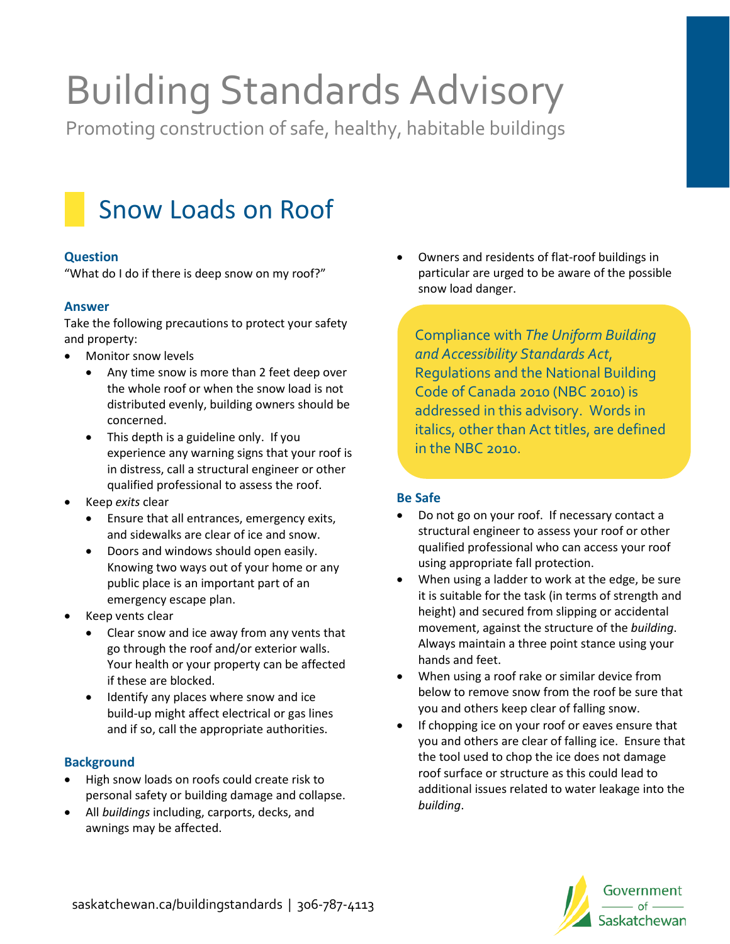# Building Standards Advisory

Promoting construction of safe, healthy, habitable buildings



#### **Question**

"What do I do if there is deep snow on my roof?"

#### **Answer**

Take the following precautions to protect your safety and property:

- Monitor snow levels
	- Any time snow is more than 2 feet deep over the whole roof or when the snow load is not distributed evenly, building owners should be concerned.
	- This depth is a guideline only. If you experience any warning signs that your roof is in distress, call a structural engineer or other qualified professional to assess the roof.
- Keep *exits* clear
	- Ensure that all entrances, emergency exits, and sidewalks are clear of ice and snow.
	- Doors and windows should open easily. Knowing two ways out of your home or any public place is an important part of an emergency escape plan.
- Keep vents clear
	- Clear snow and ice away from any vents that go through the roof and/or exterior walls. Your health or your property can be affected if these are blocked.
	- Identify any places where snow and ice build-up might affect electrical or gas lines and if so, call the appropriate authorities.

## **Background**

- High snow loads on roofs could create risk to personal safety or building damage and collapse.
- All *buildings* including, carports, decks, and awnings may be affected.

• Owners and residents of flat-roof buildings in particular are urged to be aware of the possible snow load danger.

Compliance with *The Uniform Building and Accessibility Standards Act*, Regulations and the National Building Code of Canada 2010 (NBC 2010) is addressed in this advisory. Words in italics, other than Act titles, are defined in the NBC 2010.

## **Be Safe**

- Do not go on your roof. If necessary contact a structural engineer to assess your roof or other qualified professional who can access your roof using appropriate fall protection.
- When using a ladder to work at the edge, be sure it is suitable for the task (in terms of strength and height) and secured from slipping or accidental movement, against the structure of the *building*. Always maintain a three point stance using your hands and feet.
- When using a roof rake or similar device from below to remove snow from the roof be sure that you and others keep clear of falling snow.
- If chopping ice on your roof or eaves ensure that you and others are clear of falling ice. Ensure that the tool used to chop the ice does not damage roof surface or structure as this could lead to additional issues related to water leakage into the *building*.